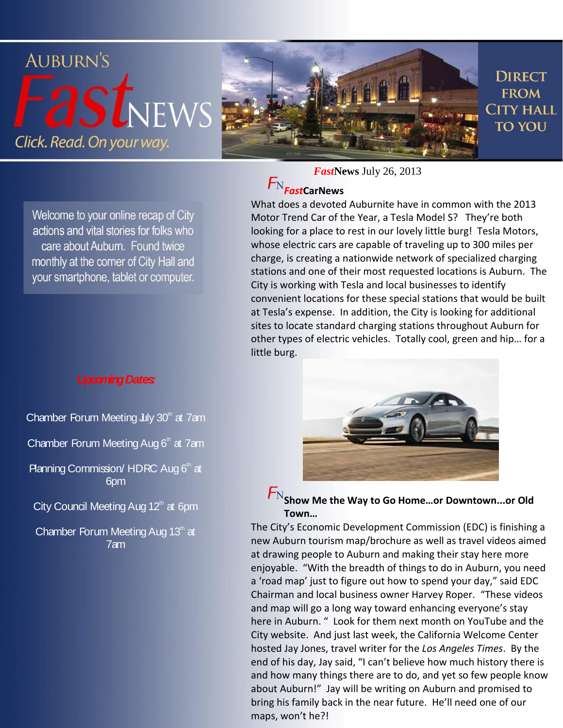

Welcome to your online recap of City actions and vital stories for folks who care about Auburn. Found twice monthly at the corner of City Hall and your smartphone, tablet or computer.

#### *Upcoming Dates:*

Chamber Forum Meeting  $\text{Lly } 30^{\text{th}}$  at 7am

Chamber Forum Meeting Aug  $6<sup>th</sup>$  at 7am

Planning Commission/ HDRC Aug  $6<sup>th</sup>$  at 6pm

City Council Meeting Aug  $12<sup>th</sup>$  at 6pm

Chamber Forum Meeting Aug 13<sup>th</sup> at 7am

*Fast***News** July 26, 2013

### $F_{N}$ FastCarNews

What does a devoted Auburnite have in common with the 2013 Motor Trend Car of the Year, a Tesla Model S? They're both looking for a place to rest in our lovely little burg! Tesla Motors, whose electric cars are capable of traveling up to 300 miles per charge, is creating a nationwide network of specialized charging stations and one of their most requested locations is Auburn. The City is working with Tesla and local businesses to identify convenient locations for these special stations that would be built at Tesla's expense. In addition, the City is looking for additional sites to locate standard charging stations throughout Auburn for other types of electric vehicles. Totally cool, green and hip… for a little burg.



 $F_{\rm N}$ Show Me the Way to Go Home...or Downtown...or Old **Town…**

The City's Economic Development Commission (EDC) is finishing a new Auburn tourism map/brochure as well as travel videos aimed at drawing people to Auburn and making their stay here more enjoyable. "With the breadth of things to do in Auburn, you need a 'road map' just to figure out how to spend your day," said EDC Chairman and local business owner Harvey Roper. "These videos and map will go a long way toward enhancing everyone's stay here in Auburn. " Look for them next month on YouTube and the City website. And just last week, the California Welcome Center hosted Jay Jones, travel writer for the *Los Angeles Times*. By the end of his day, Jay said, "I can't believe how much history there is and how many things there are to do, and yet so few people know about Auburn!" Jay will be writing on Auburn and promised to bring his family back in the near future. He'll need one of our maps, won't he?!